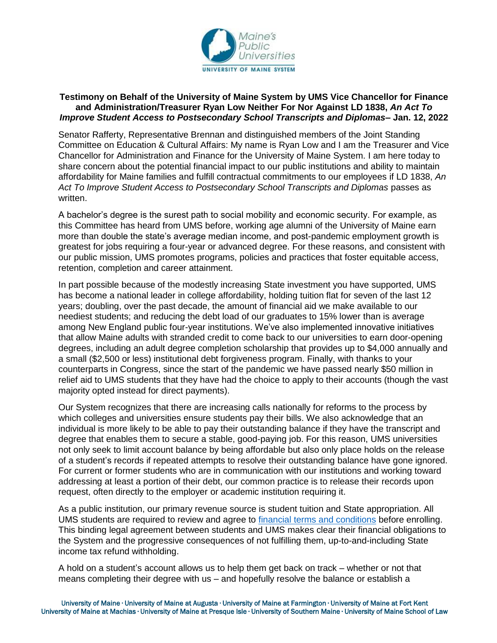

## **Testimony on Behalf of the University of Maine System by UMS Vice Chancellor for Finance and Administration/Treasurer Ryan Low Neither For Nor Against LD 1838,** *An Act To Improve Student Access to Postsecondary School Transcripts and Diplomas***– Jan. 12, 2022**

Senator Rafferty, Representative Brennan and distinguished members of the Joint Standing Committee on Education & Cultural Affairs: My name is Ryan Low and I am the Treasurer and Vice Chancellor for Administration and Finance for the University of Maine System. I am here today to share concern about the potential financial impact to our public institutions and ability to maintain affordability for Maine families and fulfill contractual commitments to our employees if LD 1838, *An Act To Improve Student Access to Postsecondary School Transcripts and Diplomas* passes as written.

A bachelor's degree is the surest path to social mobility and economic security. For example, as this Committee has heard from UMS before, working age alumni of the University of Maine earn more than double the state's average median income, and post-pandemic employment growth is greatest for jobs requiring a four-year or advanced degree. For these reasons, and consistent with our public mission, UMS promotes programs, policies and practices that foster equitable access, retention, completion and career attainment.

In part possible because of the modestly increasing State investment you have supported, UMS has become a national leader in college affordability, holding tuition flat for seven of the last 12 years; doubling, over the past decade, the amount of financial aid we make available to our neediest students; and reducing the debt load of our graduates to 15% lower than is average among New England public four-year institutions. We've also implemented innovative initiatives that allow Maine adults with stranded credit to come back to our universities to earn door-opening degrees, including an adult degree completion scholarship that provides up to \$4,000 annually and a small (\$2,500 or less) institutional debt forgiveness program. Finally, with thanks to your counterparts in Congress, since the start of the pandemic we have passed nearly \$50 million in relief aid to UMS students that they have had the choice to apply to their accounts (though the vast majority opted instead for direct payments).

Our System recognizes that there are increasing calls nationally for reforms to the process by which colleges and universities ensure students pay their bills. We also acknowledge that an individual is more likely to be able to pay their outstanding balance if they have the transcript and degree that enables them to secure a stable, good-paying job. For this reason, UMS universities not only seek to limit account balance by being affordable but also only place holds on the release of a student's records if repeated attempts to resolve their outstanding balance have gone ignored. For current or former students who are in communication with our institutions and working toward addressing at least a portion of their debt, our common practice is to release their records upon request, often directly to the employer or academic institution requiring it.

As a public institution, our primary revenue source is student tuition and State appropriation. All UMS students are required to review and agree to [financial terms and conditions](https://www.maine.edu/students/wp-content/uploads/sites/26/2020/09/Fin-Terms-and-Conditions-updated-20200917.pdf) before enrolling. This binding legal agreement between students and UMS makes clear their financial obligations to the System and the progressive consequences of not fulfilling them, up-to-and-including State income tax refund withholding.

A hold on a student's account allows us to help them get back on track – whether or not that means completing their degree with us – and hopefully resolve the balance or establish a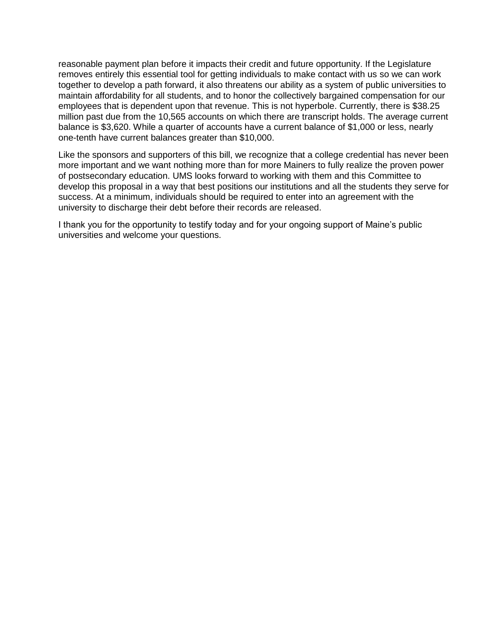reasonable payment plan before it impacts their credit and future opportunity. If the Legislature removes entirely this essential tool for getting individuals to make contact with us so we can work together to develop a path forward, it also threatens our ability as a system of public universities to maintain affordability for all students, and to honor the collectively bargained compensation for our employees that is dependent upon that revenue. This is not hyperbole. Currently, there is \$38.25 million past due from the 10,565 accounts on which there are transcript holds. The average current balance is \$3,620. While a quarter of accounts have a current balance of \$1,000 or less, nearly one-tenth have current balances greater than \$10,000.

Like the sponsors and supporters of this bill, we recognize that a college credential has never been more important and we want nothing more than for more Mainers to fully realize the proven power of postsecondary education. UMS looks forward to working with them and this Committee to develop this proposal in a way that best positions our institutions and all the students they serve for success. At a minimum, individuals should be required to enter into an agreement with the university to discharge their debt before their records are released.

I thank you for the opportunity to testify today and for your ongoing support of Maine's public universities and welcome your questions.